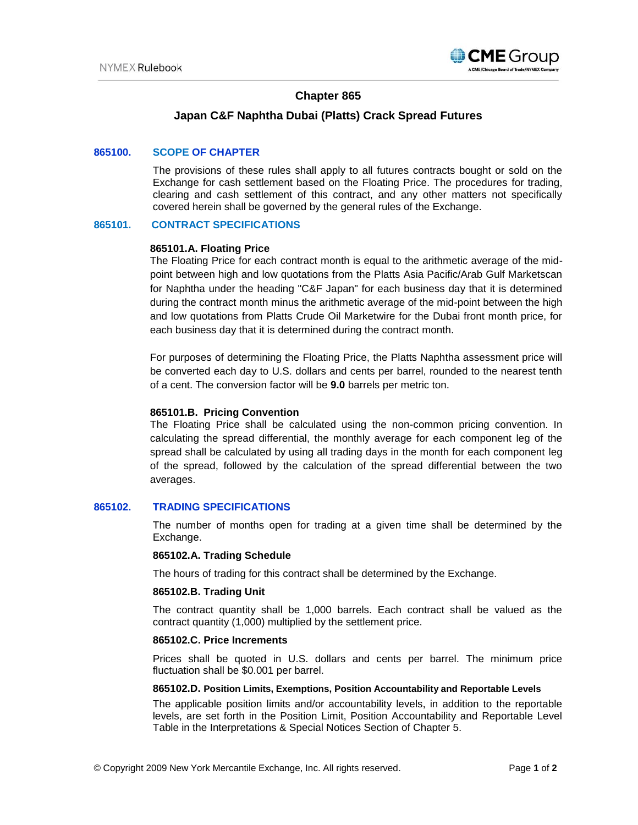

# **Chapter 865**

## **Japan C&F Naphtha Dubai (Platts) Crack Spread Futures**

## **865100. SCOPE OF CHAPTER**

The provisions of these rules shall apply to all futures contracts bought or sold on the Exchange for cash settlement based on the Floating Price. The procedures for trading, clearing and cash settlement of this contract, and any other matters not specifically covered herein shall be governed by the general rules of the Exchange.

## **865101. CONTRACT SPECIFICATIONS**

### **865101.A. Floating Price**

The Floating Price for each contract month is equal to the arithmetic average of the midpoint between high and low quotations from the Platts Asia Pacific/Arab Gulf Marketscan for Naphtha under the heading "C&F Japan" for each business day that it is determined during the contract month minus the arithmetic average of the mid-point between the high and low quotations from Platts Crude Oil Marketwire for the Dubai front month price, for each business day that it is determined during the contract month.

For purposes of determining the Floating Price, the Platts Naphtha assessment price will be converted each day to U.S. dollars and cents per barrel, rounded to the nearest tenth of a cent. The conversion factor will be **9.0** barrels per metric ton.

### **865101.B. Pricing Convention**

The Floating Price shall be calculated using the non-common pricing convention. In calculating the spread differential, the monthly average for each component leg of the spread shall be calculated by using all trading days in the month for each component leg of the spread, followed by the calculation of the spread differential between the two averages.

## **865102. TRADING SPECIFICATIONS**

The number of months open for trading at a given time shall be determined by the Exchange.

#### **865102.A. Trading Schedule**

The hours of trading for this contract shall be determined by the Exchange.

#### **865102.B. Trading Unit**

The contract quantity shall be 1,000 barrels. Each contract shall be valued as the contract quantity (1,000) multiplied by the settlement price.

#### **865102.C. Price Increments**

Prices shall be quoted in U.S. dollars and cents per barrel. The minimum price fluctuation shall be \$0.001 per barrel.

#### **865102.D. Position Limits, Exemptions, Position Accountability and Reportable Levels**

The applicable position limits and/or accountability levels, in addition to the reportable levels, are set forth in the Position Limit, Position Accountability and Reportable Level Table in the Interpretations & Special Notices Section of Chapter 5.